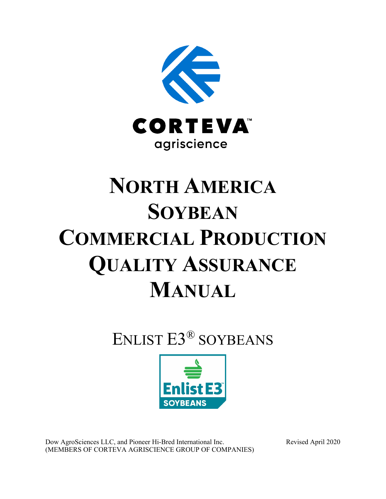

# **NORTH AMERICA SOYBEAN COMMERCIAL PRODUCTION QUALITY ASSURANCE MANUAL**

ENLIST E3® SOYBEANS



Dow AgroSciences LLC, and Pioneer Hi-Bred International Inc. Revised April 2020 (MEMBERS OF CORTEVA AGRISCIENCE GROUP OF COMPANIES)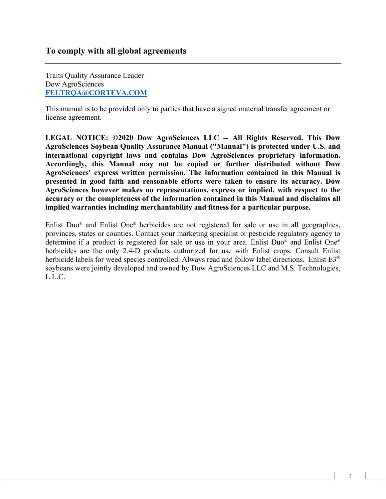### **To comply with all global agreements**

Traits Quality Assurance Leader Dow AgroSciences **[FELTRQA@CORTEVA.COM](mailto:FELTRQA@CORTEVA.COM)**

This manual is to be provided only to parties that have a signed material transfer agreement or license agreement.

**LEGAL NOTICE: ©2020 Dow AgroSciences LLC -- All Rights Reserved. This Dow AgroSciences Soybean Quality Assurance Manual ("Manual") is protected under U.S. and international copyright laws and contains Dow AgroSciences proprietary information. Accordingly, this Manual may not be copied or further distributed without Dow AgroSciences' express written permission. The information contained in this Manual is presented in good faith and reasonable efforts were taken to ensure its accuracy. Dow AgroSciences however makes no representations, express or implied, with respect to the accuracy or the completeness of the information contained in this Manual and disclaims all implied warranties including merchantability and fitness for a particular purpose.** 

Enlist Duo® and Enlist One**®** herbicides are not registered for sale or use in all geographies, provinces, states or counties. Contact your marketing specialist or pesticide regulatory agency to determine if a product is registered for sale or use in your area. Enlist Duo® and Enlist One**®** herbicides are the only 2,4-D products authorized for use with Enlist crops. Consult Enlist herbicide labels for weed species controlled. Always read and follow label directions. Enlist E3<sup>®</sup> soybeans were jointly developed and owned by Dow AgroSciences LLC and M.S. Technologies, L.L.C.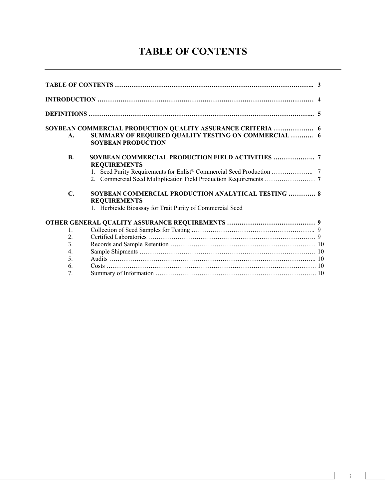# **TABLE OF CONTENTS**

|                  | SOYBEAN COMMERCIAL PRODUCTION QUALITY ASSURANCE CRITERIA  6                              |  |
|------------------|------------------------------------------------------------------------------------------|--|
| A.               | <b>SUMMARY OF REQUIRED QUALITY TESTING ON COMMERCIAL  6</b><br><b>SOYBEAN PRODUCTION</b> |  |
| <b>B.</b>        | <b>REQUIREMENTS</b>                                                                      |  |
|                  |                                                                                          |  |
| $\mathbf{C}$ .   | <b>SOYBEAN COMMERCIAL PRODUCTION ANALYTICAL TESTING  8</b><br><b>REQUIREMENTS</b>        |  |
|                  | 1. Herbicide Bioassay for Trait Purity of Commercial Seed                                |  |
|                  |                                                                                          |  |
| $\mathbf{1}$     |                                                                                          |  |
| $\overline{2}$ . |                                                                                          |  |
| 3.               |                                                                                          |  |
| $\overline{4}$ . |                                                                                          |  |
| 5.               |                                                                                          |  |
| 6.               |                                                                                          |  |
| 7                |                                                                                          |  |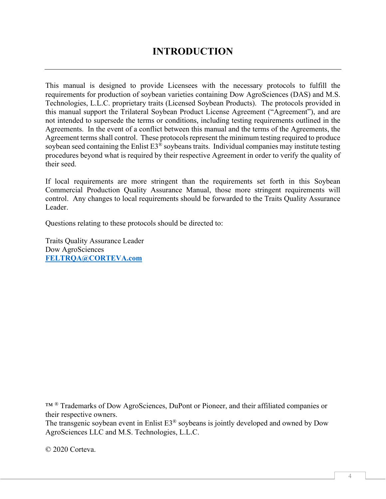# **INTRODUCTION**

This manual is designed to provide Licensees with the necessary protocols to fulfill the requirements for production of soybean varieties containing Dow AgroSciences (DAS) and M.S. Technologies, L.L.C. proprietary traits (Licensed Soybean Products). The protocols provided in this manual support the Trilateral Soybean Product License Agreement ("Agreement"), and are not intended to supersede the terms or conditions, including testing requirements outlined in the Agreements. In the event of a conflict between this manual and the terms of the Agreements, the Agreement terms shall control. These protocols represent the minimum testing required to produce soybean seed containing the Enlist  $E3^{\hat{\otimes}}$  soybeans traits. Individual companies may institute testing procedures beyond what is required by their respective Agreement in order to verify the quality of their seed.

If local requirements are more stringent than the requirements set forth in this Soybean Commercial Production Quality Assurance Manual, those more stringent requirements will control. Any changes to local requirements should be forwarded to the Traits Quality Assurance Leader.

Questions relating to these protocols should be directed to:

Traits Quality Assurance Leader Dow AgroSciences **[FELTRQA@CORTEVA.com](mailto:FELTRQA@CORTEVA.com)**

™ ® Trademarks of Dow AgroSciences, DuPont or Pioneer, and their affiliated companies or their respective owners.

The transgenic soybean event in Enlist E3® soybeans is jointly developed and owned by Dow AgroSciences LLC and M.S. Technologies, L.L.C.

© 2020 Corteva.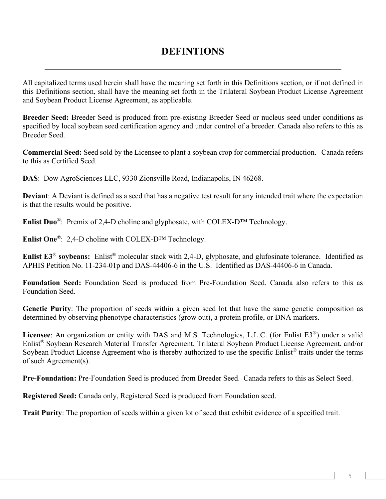# **DEFINTIONS**

All capitalized terms used herein shall have the meaning set forth in this Definitions section, or if not defined in this Definitions section, shall have the meaning set forth in the Trilateral Soybean Product License Agreement and Soybean Product License Agreement, as applicable.

**Breeder Seed:** Breeder Seed is produced from pre-existing Breeder Seed or nucleus seed under conditions as specified by local soybean seed certification agency and under control of a breeder. Canada also refers to this as Breeder Seed.

**Commercial Seed:** Seed sold by the Licensee to plant a soybean crop for commercial production. Canada refers to this as Certified Seed.

DAS: Dow AgroSciences LLC, 9330 Zionsville Road, Indianapolis, IN 46268.

**Deviant**: A Deviant is defined as a seed that has a negative test result for any intended trait where the expectation is that the results would be positive.

**Enlist Duo**®: Premix of 2,4-D choline and glyphosate, with COLEX-D™ Technology.

**Enlist One**®: 2,4-D choline with COLEX-D™ Technology.

**Enlist E3<sup>®</sup> soybeans:** Enlist<sup>®</sup> molecular stack with 2,4-D, glyphosate, and glufosinate tolerance. Identified as APHIS Petition No. 11-234-01p and DAS-44406-6 in the U.S. Identified as DAS-44406-6 in Canada.

**Foundation Seed:** Foundation Seed is produced from Pre-Foundation Seed. Canada also refers to this as Foundation Seed.

**Genetic Purity**: The proportion of seeds within a given seed lot that have the same genetic composition as determined by observing phenotype characteristics (grow out), a protein profile, or DNA markers.

**Licensee**: An organization or entity with DAS and M.S. Technologies, L.L.C. (for Enlist E3®) under a valid Enlist® Soybean Research Material Transfer Agreement, Trilateral Soybean Product License Agreement, and/or Soybean Product License Agreement who is thereby authorized to use the specific Enlist<sup>®</sup> traits under the terms of such Agreement(s).

**Pre-Foundation:** Pre-Foundation Seed is produced from Breeder Seed. Canada refers to this as Select Seed.

**Registered Seed:** Canada only, Registered Seed is produced from Foundation seed.

**Trait Purity**: The proportion of seeds within a given lot of seed that exhibit evidence of a specified trait.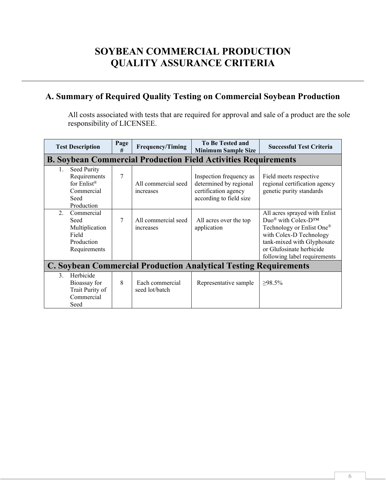# **SOYBEAN COMMERCIAL PRODUCTION QUALITY ASSURANCE CRITERIA**

# **A. Summary of Required Quality Testing on Commercial Soybean Production**

All costs associated with tests that are required for approval and sale of a product are the sole responsibility of LICENSEE.

| <b>Test Description</b>                                                                       | Page<br># | <b>Frequency/Timing</b>           | <b>To Be Tested and</b><br><b>Minimum Sample Size</b>                                                | <b>Successful Test Criteria</b>                                                                                                                                                                        |  |  |
|-----------------------------------------------------------------------------------------------|-----------|-----------------------------------|------------------------------------------------------------------------------------------------------|--------------------------------------------------------------------------------------------------------------------------------------------------------------------------------------------------------|--|--|
| <b>B. Soybean Commercial Production Field Activities Requirements</b>                         |           |                                   |                                                                                                      |                                                                                                                                                                                                        |  |  |
| Seed Purity<br>1.<br>Requirements<br>for Enlist®<br>Commercial<br>Seed<br>Production          | 7         | All commercial seed<br>increases  | Inspection frequency as<br>determined by regional<br>certification agency<br>according to field size | Field meets respective<br>regional certification agency<br>genetic purity standards                                                                                                                    |  |  |
| 2 <sub>1</sub><br>Commercial<br>Seed<br>Multiplication<br>Field<br>Production<br>Requirements | 7         | All commercial seed<br>increases  | All acres over the top<br>application                                                                | All acres sprayed with Enlist<br>Duo® with Colex-DTM<br>Technology or Enlist One®<br>with Colex-D Technology<br>tank-mixed with Glyphosate<br>or Glufosinate herbicide<br>following label requirements |  |  |
| <b>C. Soybean Commercial Production Analytical Testing Requirements</b>                       |           |                                   |                                                                                                      |                                                                                                                                                                                                        |  |  |
| Herbicide<br>3 <sub>1</sub><br>Bioassay for<br>Trait Purity of<br>Commercial<br>Seed          | 8         | Each commercial<br>seed lot/batch | Representative sample                                                                                | $>98.5\%$                                                                                                                                                                                              |  |  |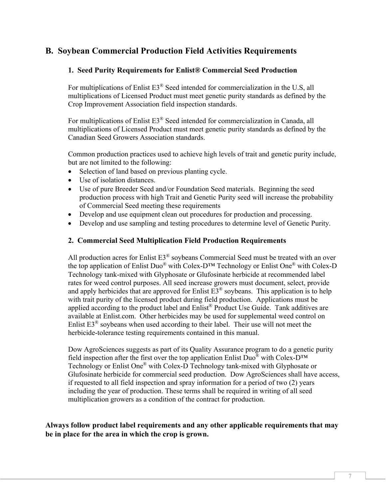## **B. Soybean Commercial Production Field Activities Requirements**

#### **1. Seed Purity Requirements for Enlist® Commercial Seed Production**

For multiplications of Enlist E3® Seed intended for commercialization in the U.S, all multiplications of Licensed Product must meet genetic purity standards as defined by the Crop Improvement Association field inspection standards.

For multiplications of Enlist E3® Seed intended for commercialization in Canada, all multiplications of Licensed Product must meet genetic purity standards as defined by the Canadian Seed Growers Association standards.

Common production practices used to achieve high levels of trait and genetic purity include, but are not limited to the following:

- Selection of land based on previous planting cycle.
- Use of isolation distances.
- Use of pure Breeder Seed and/or Foundation Seed materials. Beginning the seed production process with high Trait and Genetic Purity seed will increase the probability of Commercial Seed meeting these requirements
- Develop and use equipment clean out procedures for production and processing.
- Develop and use sampling and testing procedures to determine level of Genetic Purity.

#### **2. Commercial Seed Multiplication Field Production Requirements**

All production acres for Enlist  $E3^{\circledR}$  soybeans Commercial Seed must be treated with an over the top application of Enlist Duo<sup>®</sup> with Colex-D<sup>TM</sup> Technology or Enlist One<sup>®</sup> with Colex-D Technology tank-mixed with Glyphosate or Glufosinate herbicide at recommended label rates for weed control purposes. All seed increase growers must document, select, provide and apply herbicides that are approved for Enlist  $E3^{\circledR}$  soybeans. This application is to help with trait purity of the licensed product during field production. Applications must be applied according to the product label and Enlist® Product Use Guide. Tank additives are available at Enlist.com. Other herbicides may be used for supplemental weed control on Enlist  $E3^{\circledast}$  soybeans when used according to their label. Their use will not meet the herbicide-tolerance testing requirements contained in this manual.

Dow AgroSciences suggests as part of its Quality Assurance program to do a genetic purity field inspection after the first over the top application Enlist  $\overline{Duo}^{\mathbb{R}}$  with Colex- $D^{TM}$ Technology or Enlist One® with Colex-D Technology tank-mixed with Glyphosate or Glufosinate herbicide for commercial seed production. Dow AgroSciences shall have access, if requested to all field inspection and spray information for a period of two (2) years including the year of production. These terms shall be required in writing of all seed multiplication growers as a condition of the contract for production.

**Always follow product label requirements and any other applicable requirements that may be in place for the area in which the crop is grown.**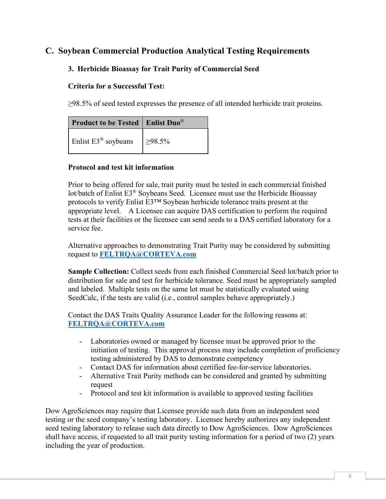# **C. Soybean Commercial Production Analytical Testing Requirements**

#### **3. Herbicide Bioassay for Trait Purity of Commercial Seed**

#### **Criteria for a Successful Test:**

≥98.5% of seed tested expresses the presence of all intended herbicide trait proteins.

| <b>Product to be Tested   Enlist Duo</b> ®      |  |
|-------------------------------------------------|--|
| Enlist E3 <sup>®</sup> soybeans $  \geq 98.5\%$ |  |

#### **Protocol and test kit information**

Prior to being offered for sale, trait purity must be tested in each commercial finished lot/batch of Enlist E3® Soybeans Seed. Licensee must use the Herbicide Bioassay protocols to verify Enlist E3™ Soybean herbicide tolerance traits present at the appropriate level. A Licensee can acquire DAS certification to perform the required tests at their facilities or the licensee can send seeds to a DAS certified laboratory for a service fee.

Alternative approaches to demonstrating Trait Purity may be considered by submitting request to **[FELTRQA@CORTEVA.com](mailto:FELTRQA@CORTEVA.com)**

**Sample Collection:** Collect seeds from each finished Commercial Seed lot/batch prior to distribution for sale and test for herbicide tolerance. Seed must be appropriately sampled and labeled. Multiple tests on the same lot must be statistically evaluated using SeedCalc, if the tests are valid (i.e., control samples behave appropriately.)

Contact the DAS Traits Quality Assurance Leader for the following reasons at: **[FELTRQA@CORTEVA.com](mailto:FELTRQA@CORTEVA.com)**

- Laboratories owned or managed by licensee must be approved prior to the initiation of testing. This approval process may include completion of proficiency testing administered by DAS to demonstrate competency
- Contact DAS for information about certified fee-for-service laboratories.
- Alternative Trait Purity methods can be considered and granted by submitting request
- Protocol and test kit information is available to approved testing facilities

Dow AgroSciences may require that Licensee provide such data from an independent seed testing or the seed company's testing laboratory. Licensee hereby authorizes any independent seed testing laboratory to release such data directly to Dow AgroSciences. Dow AgroSciences shall have access, if requested to all trait purity testing information for a period of two (2) years including the year of production.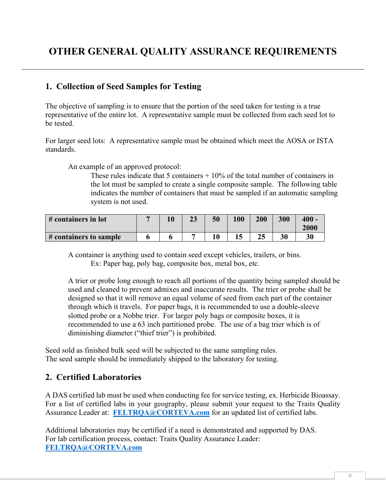# **OTHER GENERAL QUALITY ASSURANCE REQUIREMENTS**

## **1. Collection of Seed Samples for Testing**

The objective of sampling is to ensure that the portion of the seed taken for testing is a true representative of the entire lot. A representative sample must be collected from each seed lot to be tested.

For larger seed lots: A representative sample must be obtained which meet the AOSA or ISTA standards.

An example of an approved protocol:

These rules indicate that 5 containers  $+10\%$  of the total number of containers in the lot must be sampled to create a single composite sample. The following table indicates the number of containers that must be sampled if an automatic sampling system is not used.

| $\#$ containers in lot   |  | n d<br>د⊾ | 50 | 100 | 200      | 300 | $400 -$<br>2000 |
|--------------------------|--|-----------|----|-----|----------|-----|-----------------|
| $#$ containers to sample |  |           | 10 |     | ጎድ<br>∠⊾ | 30  | ን በ             |

A container is anything used to contain seed except vehicles, trailers, or bins. Ex: Paper bag, poly bag, composite box, metal box, etc.

A trier or probe long enough to reach all portions of the quantity being sampled should be used and cleaned to prevent admixes and inaccurate results. The trier or probe shall be designed so that it will remove an equal volume of seed from each part of the container through which it travels. For paper bags, it is recommended to use a double-sleeve slotted probe or a Nobbe trier. For larger poly bags or composite boxes, it is recommended to use a 63 inch partitioned probe. The use of a bag trier which is of diminishing diameter ("thief trier") is prohibited.

Seed sold as finished bulk seed will be subjected to the same sampling rules. The seed sample should be immediately shipped to the laboratory for testing.

## **2. Certified Laboratories**

A DAS certified lab must be used when conducting fee for service testing, ex. Herbicide Bioassay. For a list of certified labs in your geography, please submit your request to the Traits Quality Assurance Leader at: **[FELTRQA@CORTEVA.com](mailto:FELTRQA@CORTEVA.com)** for an updated list of certified labs.

Additional laboratories may be certified if a need is demonstrated and supported by DAS. For lab certification process, contact: Traits Quality Assurance Leader: **[FELTRQA@CORTEVA.com](mailto:FELTRQA@CORTEVA.com)**